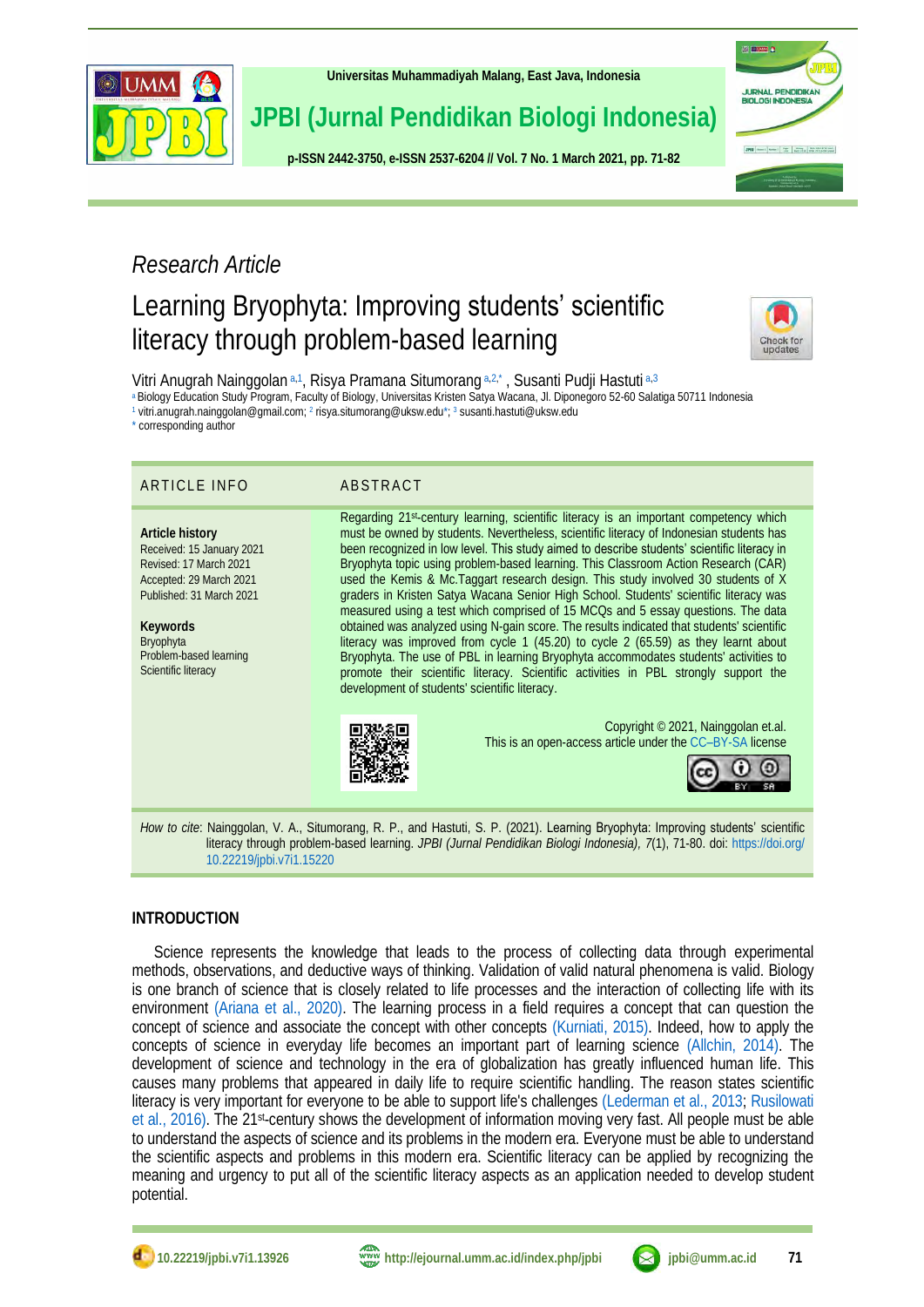

**[Universitas Muhammadiyah Malang,](http://ejournal.umm.ac.id/) East Java, Indonesia**

## **JPBI (Jurnal Pendidikan Biologi Indonesia)**

**p-ISS[N 2442-3750,](http://u.lipi.go.id/1422867894) e-ISS[N 2537-6204](http://u.lipi.go.id/1460300524) // Vol. 7 No. 1 March 2021, pp. 71-82**



## *Research Article*

# Learning Bryophyta: Improving students' scientific literacy through problem-based learning

<span id="page-0-8"></span>

Vitri Anugrah Nainggolan [a,](#page-0-0)[1](#page-0-1), Risya Pramana Situmorang a,[2,](#page-0-2)[\\*](#page-0-3), Susanti Pudji Hastuti a,[3](#page-0-4)

<span id="page-0-0"></span>[a](#page-0-5) Biology Education Study Program, Faculty of Biology, Universitas Kristen Satya Wacana, Jl. Diponegoro 52-60 Salatiga 50711 Indonesia

<span id="page-0-1"></span><sup>[1](#page-0-6)</sup> vitri.anugrah.nainggolan@gmail.com; <sup>[2](#page-0-7)</sup> risya.situmorang@uksw.ed[u\\*;](#page-0-3)<sup>3</sup> susanti.hastuti@uksw.edu

<span id="page-0-3"></span>[\\*](#page-0-9) corresponding author

### ARTICLE INFO ABSTRACT

**Article history** Received: 15 January 2021 Revised: 17 March 2021 Accepted: 29 March 2021 Published: 31 March 2021

**Keywords** Bryophyta Problem-based learning Scientific literacy

<span id="page-0-9"></span><span id="page-0-7"></span><span id="page-0-6"></span><span id="page-0-5"></span><span id="page-0-4"></span><span id="page-0-2"></span>Regarding 21st-century learning, scientific literacy is an important competency which must be owned by students. Nevertheless, scientific literacy of Indonesian students has been recognized in low level. This study aimed to describe students' scientific literacy in Bryophyta topic using problem-based learning. This Classroom Action Research (CAR) used the Kemis & Mc.Taggart research design. This study involved 30 students of X graders in Kristen Satya Wacana Senior High School. Students' scientific literacy was measured using a test which comprised of 15 MCQs and 5 essay questions. The data obtained was analyzed using N-gain score. The results indicated that students' scientific literacy was improved from cycle 1 (45.20) to cycle 2 (65.59) as they learnt about Bryophyta. The use of PBL in learning Bryophyta accommodates students' activities to promote their scientific literacy. Scientific activities in PBL strongly support the development of students' scientific literacy.



Copyright © 2021, Nainggolan et.al. This is an open-access article under the CC–[BY-SA](http://creativecommons.org/licenses/by-sa/4.0/) license



*How to cite*: Nainggolan, V. A., Situmorang, R. P., and Hastuti, S. P. (2021). Learning Bryophyta: Improving students' scientific literacy through problem-based learning. *JPBI (Jurnal Pendidikan Biologi Indonesia), 7*(1), 71-80. doi: [https://doi.org/](https://doi.org/10.22219/jpbi.v7i1.15220) [10.22219/jpbi.v7i1.15220](https://doi.org/10.22219/jpbi.v7i1.15220)

### **INTRODUCTION**

Science represents the knowledge that leads to the process of collecting data through experimental methods, observations, and deductive ways of thinking. Validation of valid natural phenomena is valid. Biology is one branch of science that is closely related to life processes and the interaction of collecting life with its environment [\(Ariana et al., 2020\).](#page-8-0) The learning process in a field requires a concept that can question the concept of science and associate the concept with other concepts [\(Kurniati, 2015\).](#page-9-0) Indeed, how to apply the concepts of science in everyday life becomes an important part of learning science [\(Allchin, 2014\).](#page-8-1) The development of science and technology in the era of globalization has greatly influenced human life. This causes many problems that appeared in daily life to require scientific handling. The reason states scientific literacy is very important for everyone to be able to support life's challenges [\(Lederman et al., 2013;](#page-9-1) [Rusilowati](#page-11-0)  [et al., 2016\).](#page-11-0) The 21st-century shows the development of information moving very fast. All people must be able to understand the aspects of science and its problems in the modern era. Everyone must be able to understand the scientific aspects and problems in this modern era. Scientific literacy can be applied by recognizing the meaning and urgency to put all of the scientific literacy aspects as an application needed to develop student potential.



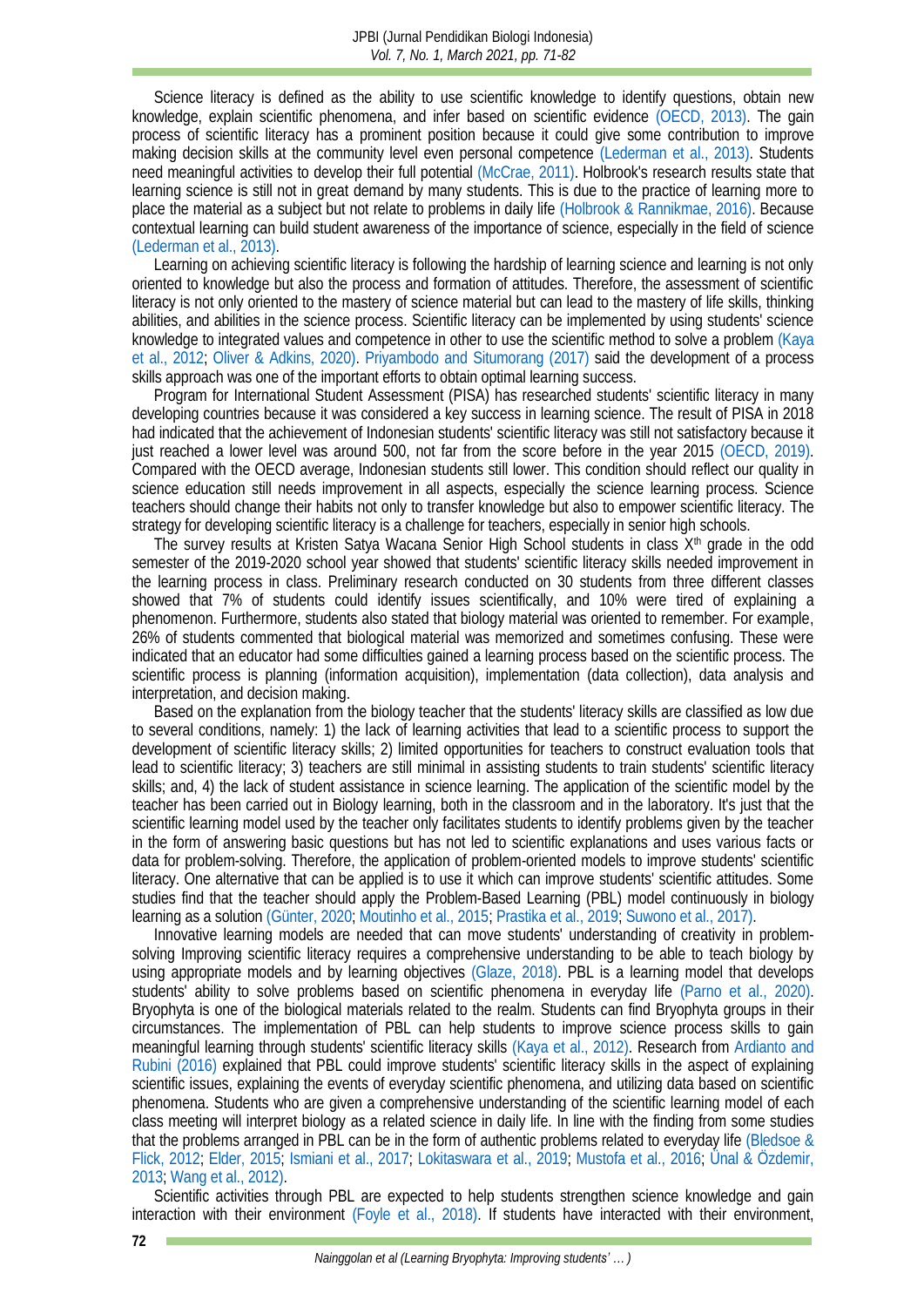Science literacy is defined as the ability to use scientific knowledge to identify questions, obtain new knowledge, explain scientific phenomena, and infer based on scientific evidence [\(OECD, 2013\).](#page-10-0) The gain process of scientific literacy has a prominent position because it could give some contribution to improve making decision skills at the community level even personal competence [\(Lederman et al., 2013\).](#page-9-1) Students need meaningful activities to develop their full potential [\(McCrae, 2011\).](#page-10-1) Holbrook's research results state that learning science is still not in great demand by many students. This is due to the practice of learning more to place the material as a subject but not relate to problems in daily life [\(Holbrook & Rannikmae, 2016\).](#page-9-2) Because contextual learning can build student awareness of the importance of science, especially in the field of science [\(Lederman et al.,](#page-9-1) 2013).

Learning on achieving scientific literacy is following the hardship of learning science and learning is not only oriented to knowledge but also the process and formation of attitudes. Therefore, the assessment of scientific literacy is not only oriented to the mastery of science material but can lead to the mastery of life skills, thinking abilities, and abilities in the science process. Scientific literacy can be implemented by using students' science knowledge to integrated values and competence in other to use the scientific method to solve a problem [\(Kaya](#page-9-3)  [et al., 2012;](#page-9-3) [Oliver & Adkins, 2020\).](#page-10-2) [Priyambodo and](#page-10-3) Situmorang (2017) said the development of a process skills approach was one of the important efforts to obtain optimal learning success.

Program for International Student Assessment (PISA) has researched students' scientific literacy in many developing countries because it was considered a key success in learning science. The result of PISA in 2018 had indicated that the achievement of Indonesian students' scientific literacy was still not satisfactory because it just reached a lower level was around 500, not far from the score before in the year 2015 [\(OECD, 2019\).](#page-10-4) Compared with the OECD average, Indonesian students still lower. This condition should reflect our quality in science education still needs improvement in all aspects, especially the science learning process. Science teachers should change their habits not only to transfer knowledge but also to empower scientific literacy. The strategy for developing scientific literacy is a challenge for teachers, especially in senior high schools.

The survey results at Kristen Satya Wacana Senior High School students in class  $X<sup>th</sup>$  grade in the odd semester of the 2019-2020 school year showed that students' scientific literacy skills needed improvement in the learning process in class. Preliminary research conducted on 30 students from three different classes showed that 7% of students could identify issues scientifically, and 10% were tired of explaining a phenomenon. Furthermore, students also stated that biology material was oriented to remember. For example, 26% of students commented that biological material was memorized and sometimes confusing. These were indicated that an educator had some difficulties gained a learning process based on the scientific process. The scientific process is planning (information acquisition), implementation (data collection), data analysis and interpretation, and decision making.

Based on the explanation from the biology teacher that the students' literacy skills are classified as low due to several conditions, namely: 1) the lack of learning activities that lead to a scientific process to support the development of scientific literacy skills; 2) limited opportunities for teachers to construct evaluation tools that lead to scientific literacy; 3) teachers are still minimal in assisting students to train students' scientific literacy skills; and, 4) the lack of student assistance in science learning. The application of the scientific model by the teacher has been carried out in Biology learning, both in the classroom and in the laboratory. It's just that the scientific learning model used by the teacher only facilitates students to identify problems given by the teacher in the form of answering basic questions but has not led to scientific explanations and uses various facts or data for problem-solving. Therefore, the application of problem-oriented models to improve students' scientific literacy. One alternative that can be applied is to use it which can improve students' scientific attitudes. Some studies find that the teacher should apply the Problem-Based Learning (PBL) model continuously in biology learning as a solutio[n \(Günter, 2020;](#page-9-4) [Moutinho et al., 2015;](#page-10-5) [Prastika et al., 2019;](#page-10-6) [Suwono et al., 2017\).](#page-11-1)

Innovative learning models are needed that can move students' understanding of creativity in problemsolving Improving scientific literacy requires a comprehensive understanding to be able to teach biology by using appropriate models and by learning objectives [\(Glaze, 2018\).](#page-9-5) PBL is a learning model that develops students' ability to solve problems based on scientific phenomena in everyday life [\(Parno et al., 2020\).](#page-10-7) Bryophyta is one of the biological materials related to the realm. Students can find Bryophyta groups in their circumstances. The implementation of PBL can help students to improve science process skills to gain meaningful learning through students' scientific literacy skills [\(Kaya et al., 2012\).](#page-9-3) Research from [Ardianto and](#page-8-2) Rubini (2016) explained that PBL could improve students' scientific literacy skills in the aspect of explaining scientific issues, explaining the events of everyday scientific phenomena, and utilizing data based on scientific phenomena. Students who are given a comprehensive understanding of the scientific learning model of each class meeting will interpret biology as a related science in daily life. In line with the finding from some studies that the problems arranged in PBL can be in the form of authentic problems related to everyday life [\(Bledsoe &](#page-8-3)  [Flick, 2012;](#page-8-3) [Elder, 2015;](#page-9-6) [Ismiani et](#page-9-7) al., 2017; [Lokitaswara et al., 2019;](#page-10-8) [Mustofa et al., 2016;](#page-10-9) [Ünal & Özdemir,](#page-11-2)  [2013;](#page-11-2) [Wang et al., 2012\).](#page-11-3)

Scientific activities through PBL are expected to help students strengthen science knowledge and gain interaction with their environment [\(Foyle et al., 2018\).](#page-9-8) If students have interacted with their environment,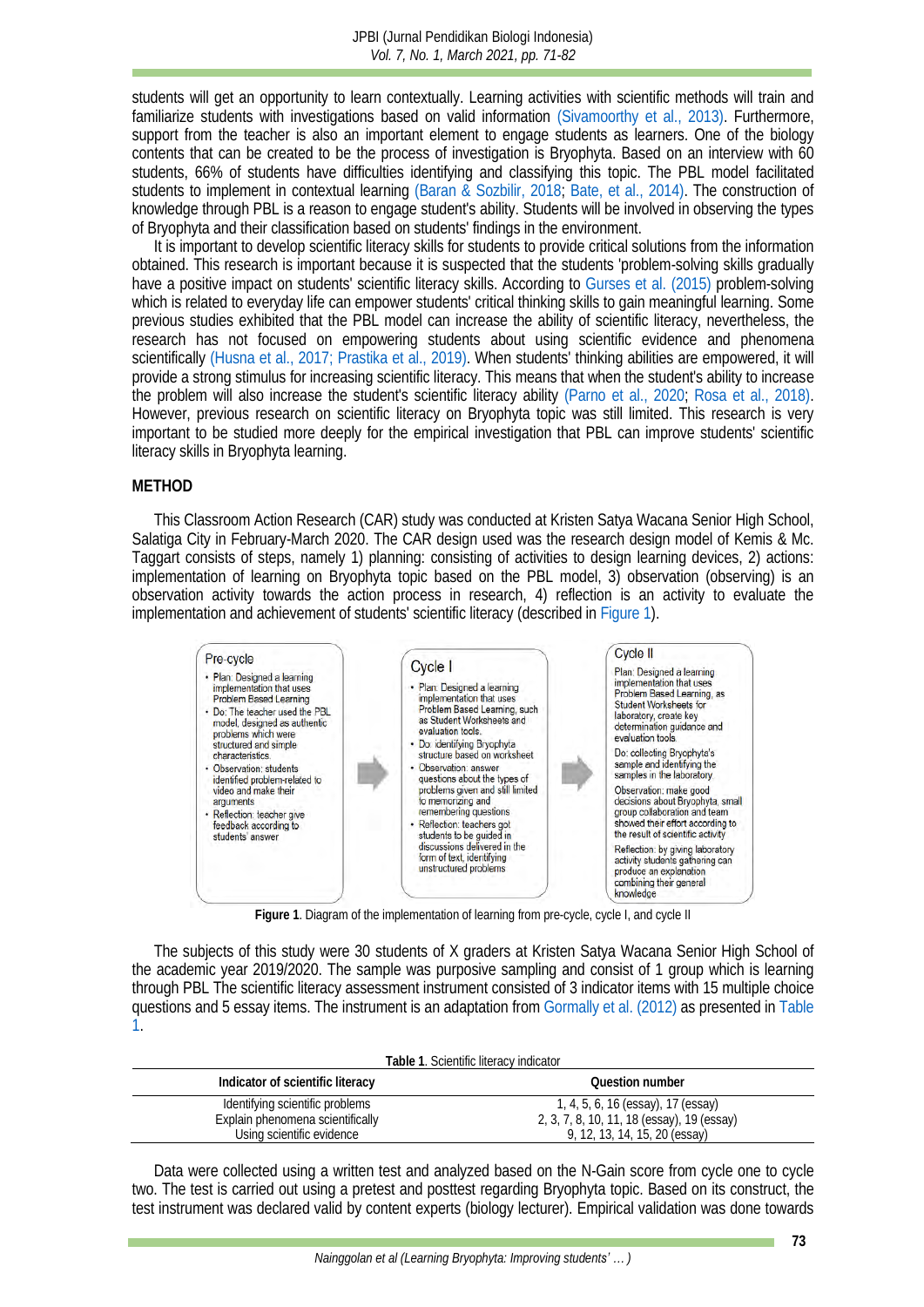students will get an opportunity to learn contextually. Learning activities with scientific methods will train and familiarize students with investigations based on valid information [\(Sivamoorthy et al., 2013\).](#page-11-4) Furthermore, support from the teacher is also an important element to engage students as learners. One of the biology contents that can be created to be the process of investigation is Bryophyta. Based on an interview with 60 students, 66% of students have difficulties identifying and classifying this topic. The PBL model facilitated students to implement in contextual learning [\(Baran & Sozbilir,](#page-8-4) 2018; [Bate, et al., 2014\).](#page-8-5) The construction of knowledge through PBL is a reason to engage student's ability. Students will be involved in observing the types of Bryophyta and their classification based on students' findings in the environment.

It is important to develop scientific literacy skills for students to provide critical solutions from the information obtained. This research is important because it is suspected that the students 'problem-solving skills gradually have a positive impact on students' scientific literacy skills. According to [Gurses et al.](#page-9-9) (2015) problem-solving which is related to everyday life can empower students' critical thinking skills to gain meaningful learning. Some previous studies exhibited that the PBL model can increase the ability of scientific literacy, nevertheless, the research has not focused on empowering students about using scientific evidence and phenomena scientifically [\(Husna et al., 2017;](#page-9-10) [Prastika et al., 2019\).](#page-10-6) When students' thinking abilities are empowered, it will provide a strong stimulus for increasing scientific literacy. This means that when the student's ability to increase the problem will also increase the student's scientific literacy ability [\(Parno et al., 2020;](#page-10-7) [Rosa et al., 2018\).](#page-11-5) However, previous research on scientific literacy on Bryophyta topic was still limited. This research is very important to be studied more deeply for the empirical investigation that PBL can improve students' scientific literacy skills in Bryophyta learning.

#### **METHOD**

This Classroom Action Research (CAR) study was conducted at Kristen Satya Wacana Senior High School, Salatiga City in February-March 2020. The CAR design used was the research design model of Kemis & Mc. Taggart consists of steps, namely 1) planning: consisting of activities to design learning devices, 2) actions: implementation of learning on Bryophyta topic based on the PBL model, 3) observation (observing) is an observation activity towards the action process in research, 4) reflection is an activity to evaluate the implementation and achievement of students' scientific literacy (described in [Figure 1\)](#page-2-0).



**Figure 1**. Diagram of the implementation of learning from pre-cycle, cycle I, and cycle II

<span id="page-2-0"></span>The subjects of this study were 30 students of X graders at Kristen Satya Wacana Senior High School of the academic year 2019/2020. The sample was purposive sampling and consist of 1 group which is learning through PBL The scientific literacy assessment instrument consisted of 3 indicator items with 15 multiple choice questions and 5 essay items. The instrument is an adaptation from [Gormally et al.](#page-9-11) (2012) as presented in [Table](#page-2-1)  [1.](#page-2-1)

| Table 1. Scientific literacy indicator |  |
|----------------------------------------|--|
|----------------------------------------|--|

<span id="page-2-1"></span>

| Indicator of scientific literacy | Question number                            |
|----------------------------------|--------------------------------------------|
| Identifying scientific problems  | 1, 4, 5, 6, 16 (essay), 17 (essay)         |
| Explain phenomena scientifically | 2, 3, 7, 8, 10, 11, 18 (essay), 19 (essay) |
| Using scientific evidence        | 9, 12, 13, 14, 15, 20 (essay)              |

Data were collected using a written test and analyzed based on the N-Gain score from cycle one to cycle two. The test is carried out using a pretest and posttest regarding Bryophyta topic. Based on its construct, the test instrument was declared valid by content experts (biology lecturer). Empirical validation was done towards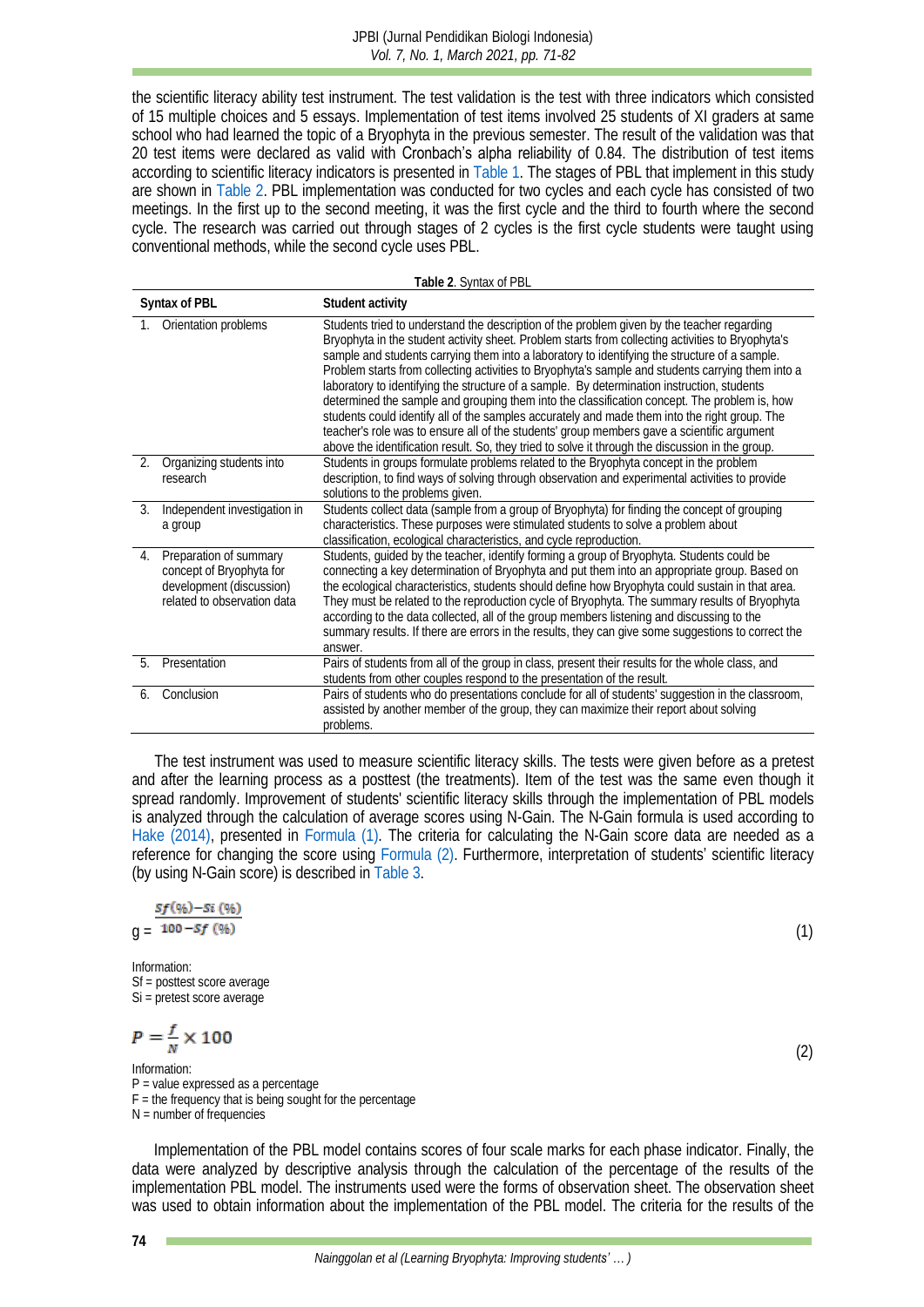the scientific literacy ability test instrument. The test validation is the test with three indicators which consisted of 15 multiple choices and 5 essays. Implementation of test items involved 25 students of XI graders at same school who had learned the topic of a Bryophyta in the previous semester. The result of the validation was that 20 test items were declared as valid with **Cronbach's alpha reliability** of 0.84. The distribution of test items according to scientific literacy indicators is presented in [Table 1.](#page-2-1) The stages of PBL that implement in this study are shown in [Table 2.](#page-3-0) PBL implementation was conducted for two cycles and each cycle has consisted of two meetings. In the first up to the second meeting, it was the first cycle and the third to fourth where the second cycle. The research was carried out through stages of 2 cycles is the first cycle students were taught using conventional methods, while the second cycle uses PBL.

**Table 2**. Syntax of PBL

<span id="page-3-0"></span>

|               | Syntax of PBL                                                                                                 | Student activity                                                                                                                                                                                                                                                                                                                                                                                                                                                                                                                                                                                                                                                                                                                                                                                                                                                                                        |
|---------------|---------------------------------------------------------------------------------------------------------------|---------------------------------------------------------------------------------------------------------------------------------------------------------------------------------------------------------------------------------------------------------------------------------------------------------------------------------------------------------------------------------------------------------------------------------------------------------------------------------------------------------------------------------------------------------------------------------------------------------------------------------------------------------------------------------------------------------------------------------------------------------------------------------------------------------------------------------------------------------------------------------------------------------|
|               | Orientation problems                                                                                          | Students tried to understand the description of the problem given by the teacher regarding<br>Bryophyta in the student activity sheet. Problem starts from collecting activities to Bryophyta's<br>sample and students carrying them into a laboratory to identifying the structure of a sample.<br>Problem starts from collecting activities to Bryophyta's sample and students carrying them into a<br>laboratory to identifying the structure of a sample. By determination instruction, students<br>determined the sample and grouping them into the classification concept. The problem is, how<br>students could identify all of the samples accurately and made them into the right group. The<br>teacher's role was to ensure all of the students' group members gave a scientific argument<br>above the identification result. So, they tried to solve it through the discussion in the group. |
| 2.            | Organizing students into<br>research                                                                          | Students in groups formulate problems related to the Bryophyta concept in the problem<br>description, to find ways of solving through observation and experimental activities to provide<br>solutions to the problems given.                                                                                                                                                                                                                                                                                                                                                                                                                                                                                                                                                                                                                                                                            |
| $\mathcal{E}$ | Independent investigation in<br>a group                                                                       | Students collect data (sample from a group of Bryophyta) for finding the concept of grouping<br>characteristics. These purposes were stimulated students to solve a problem about<br>classification, ecological characteristics, and cycle reproduction.                                                                                                                                                                                                                                                                                                                                                                                                                                                                                                                                                                                                                                                |
| 4.            | Preparation of summary<br>concept of Bryophyta for<br>development (discussion)<br>related to observation data | Students, guided by the teacher, identify forming a group of Bryophyta. Students could be<br>connecting a key determination of Bryophyta and put them into an appropriate group. Based on<br>the ecological characteristics, students should define how Bryophyta could sustain in that area.<br>They must be related to the reproduction cycle of Bryophyta. The summary results of Bryophyta<br>according to the data collected, all of the group members listening and discussing to the<br>summary results. If there are errors in the results, they can give some suggestions to correct the<br>answer.                                                                                                                                                                                                                                                                                            |
| 5             | Presentation                                                                                                  | Pairs of students from all of the group in class, present their results for the whole class, and<br>students from other couples respond to the presentation of the result.                                                                                                                                                                                                                                                                                                                                                                                                                                                                                                                                                                                                                                                                                                                              |
| 6             | Conclusion                                                                                                    | Pairs of students who do presentations conclude for all of students' suggestion in the classroom,<br>assisted by another member of the group, they can maximize their report about solving<br>problems.                                                                                                                                                                                                                                                                                                                                                                                                                                                                                                                                                                                                                                                                                                 |

The test instrument was used to measure scientific literacy skills. The tests were given before as a pretest and after the learning process as a posttest (the treatments). Item of the test was the same even though it spread randomly. Improvement of students' scientific literacy skills through the implementation of PBL models is analyzed through the calculation of average scores using N-Gain. The N-Gain formula is used according to Hake [\(2014\),](#page-9-12) presented in [Formula \(1\).](#page-3-1) The criteria for calculating the N-Gain score data are needed as a reference for changing the score using [Formula \(2\).](#page-3-2) Furthermore, interpretation of students' scientific literacy (by using N-Gain score) is described in [Table 3.](#page-4-0)

$$
\frac{Sf(96)-Si(96)}{100-56(96)}
$$

$$
g = \frac{100 - Sf(96)}{(1)}
$$

Information: Sf = posttest score average Si = pretest score average

$$
P=\frac{f}{N}\times 100
$$

#### Information: P = value expressed as a percentage  $F =$  the frequency that is being sought for the percentage

N = number of frequencies

Implementation of the PBL model contains scores of four scale marks for each phase indicator. Finally, the data were analyzed by descriptive analysis through the calculation of the percentage of the results of the implementation PBL model. The instruments used were the forms of observation sheet. The observation sheet was used to obtain information about the implementation of the PBL model. The criteria for the results of the

<span id="page-3-1"></span>

<span id="page-3-2"></span>(2)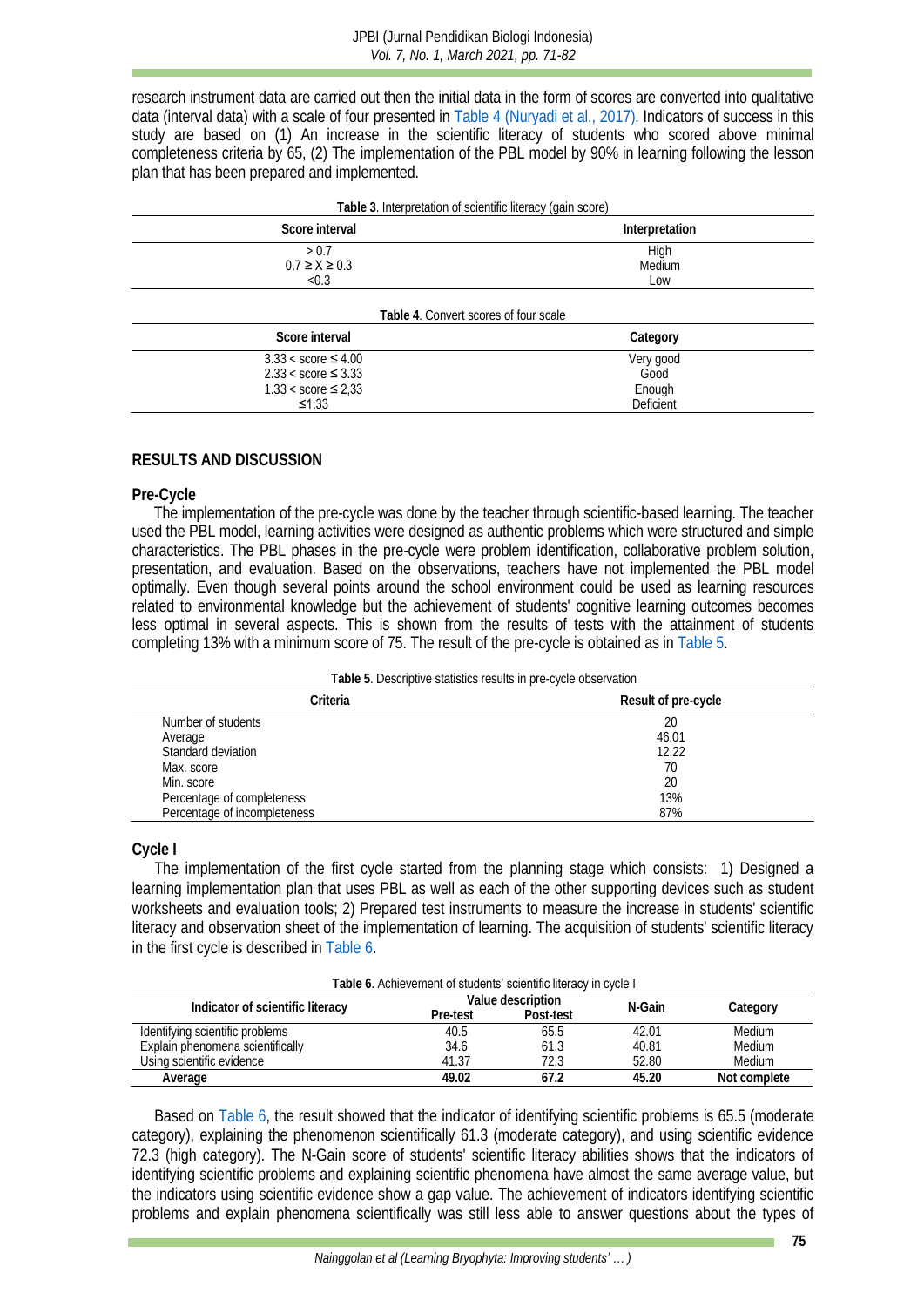research instrument data are carried out then the initial data in the form of scores are converted into qualitative data (interval data) with a scale of four presented i[n Table 4](#page-4-1) [\(Nuryadi et al., 2017\).](#page-10-10) Indicators of success in this study are based on (1) An increase in the scientific literacy of students who scored above minimal completeness criteria by 65, (2) The implementation of the PBL model by 90% in learning following the lesson plan that has been prepared and implemented.

<span id="page-4-1"></span><span id="page-4-0"></span>

| Table 3. Interpretation of scientific literacy (gain score)                                     |                                          |  |
|-------------------------------------------------------------------------------------------------|------------------------------------------|--|
| Score interval                                                                                  | Interpretation                           |  |
| > 0.7<br>$0.7 \ge X \ge 0.3$<br>< 0.3                                                           | High<br>Medium<br>Low                    |  |
| Table 4. Convert scores of four scale                                                           |                                          |  |
| Score interval                                                                                  | Category                                 |  |
| $3.33 <$ score $\leq 4.00$<br>$2.33 <$ score $\leq 3.33$<br>$1.33 <$ score $\leq 2.33$<br>≤1.33 | Very good<br>Good<br>Enough<br>Deficient |  |

#### **RESULTS AND DISCUSSION**

#### **Pre-Cycle**

The implementation of the pre-cycle was done by the teacher through scientific-based learning. The teacher used the PBL model, learning activities were designed as authentic problems which were structured and simple characteristics. The PBL phases in the pre-cycle were problem identification, collaborative problem solution, presentation, and evaluation. Based on the observations, teachers have not implemented the PBL model optimally. Even though several points around the school environment could be used as learning resources related to environmental knowledge but the achievement of students' cognitive learning outcomes becomes less optimal in several aspects. This is shown from the results of tests with the attainment of students completing 13% with a minimum score of 75. The result of the pre-cycle is obtained as i[n Table 5.](#page-4-2)

| Table 5. Descriptive statistics results in pre-cycle observation |
|------------------------------------------------------------------|
|------------------------------------------------------------------|

<span id="page-4-2"></span>

| Criteria                     | Result of pre-cycle |
|------------------------------|---------------------|
| Number of students           | 20                  |
| Average                      | 46.01               |
| Standard deviation           | 12.22               |
| Max. score                   | 70                  |
| Min. score                   | 20                  |
| Percentage of completeness   | 13%                 |
| Percentage of incompleteness | 87%                 |

**Cycle I**

The implementation of the first cycle started from the planning stage which consists: 1) Designed a learning implementation plan that uses PBL as well as each of the other supporting devices such as student worksheets and evaluation tools; 2) Prepared test instruments to measure the increase in students' scientific literacy and observation sheet of the implementation of learning. The acquisition of students' scientific literacy in the first cycle is described in [Table 6.](#page-4-3)

<span id="page-4-3"></span>

| Table 6. Achievement of students' scientific literacy in cycle I |                   |           |        |              |
|------------------------------------------------------------------|-------------------|-----------|--------|--------------|
| Indicator of scientific literacy                                 | Value description |           | N-Gain |              |
|                                                                  | Pre-test          | Post-test |        | Category     |
| Identifying scientific problems                                  | 40.5              | 65.5      | 42.01  | Medium       |
| Explain phenomena scientifically                                 | 34.6              | 61.3      | 40.81  | Medium       |
| Using scientific evidence                                        | 41.37             | 72.3      | 52.80  | Medium       |
| Average                                                          | 49.02             | 67.2      | 45.20  | Not complete |

Based on [Table 6,](#page-4-3) the result showed that the indicator of identifying scientific problems is 65.5 (moderate category), explaining the phenomenon scientifically 61.3 (moderate category), and using scientific evidence 72.3 (high category). The N-Gain score of students' scientific literacy abilities shows that the indicators of identifying scientific problems and explaining scientific phenomena have almost the same average value, but the indicators using scientific evidence show a gap value. The achievement of indicators identifying scientific problems and explain phenomena scientifically was still less able to answer questions about the types of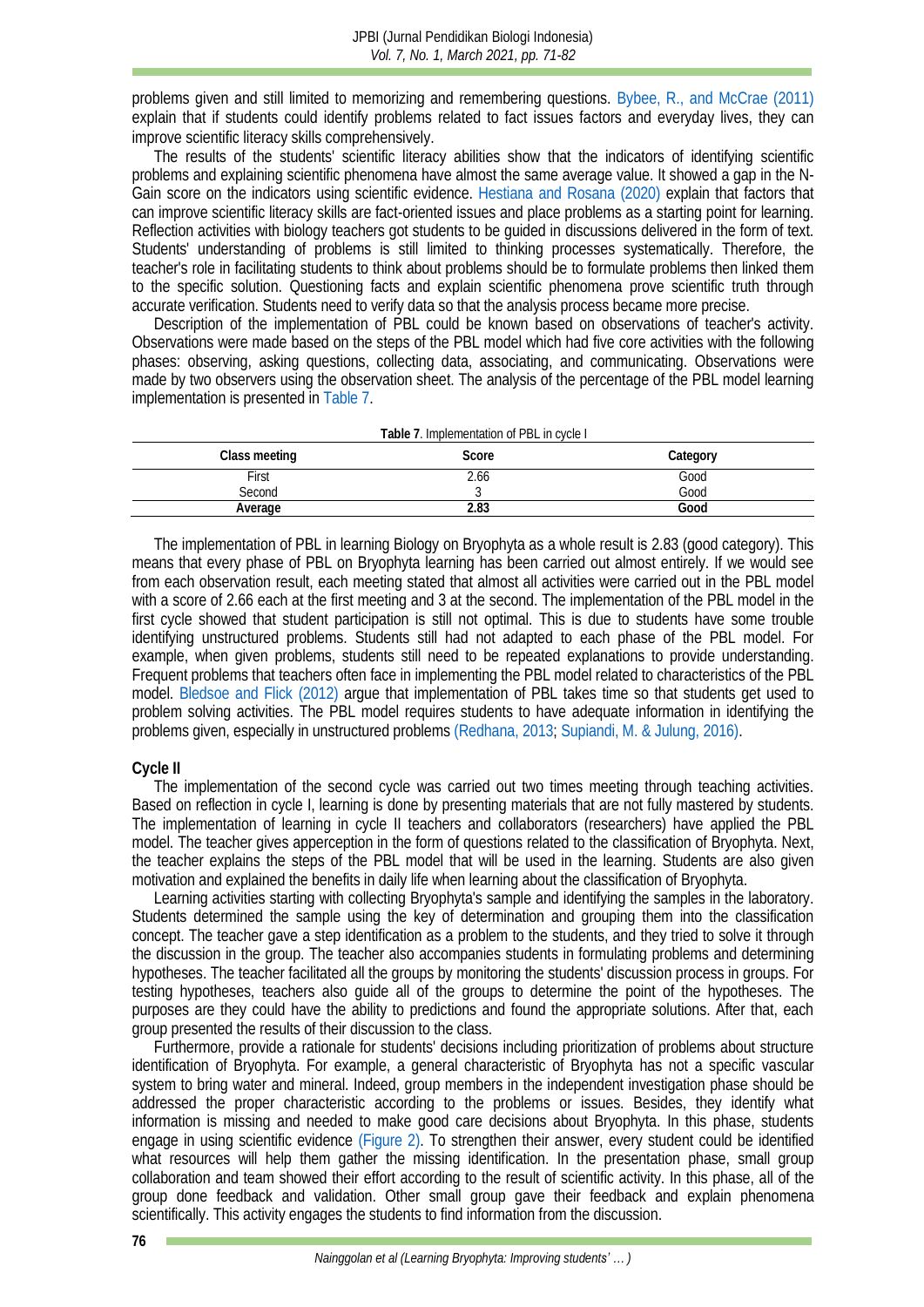problems given and still limited to memorizing and remembering questions. [Bybee, R., and](#page-8-6) McCrae (2011) explain that if students could identify problems related to fact issues factors and everyday lives, they can improve scientific literacy skills comprehensively.

The results of the students' scientific literacy abilities show that the indicators of identifying scientific problems and explaining scientific phenomena have almost the same average value. It showed a gap in the N-Gain score on the indicators using scientific evidence. [Hestiana and](#page-9-13) Rosana (2020) explain that factors that can improve scientific literacy skills are fact-oriented issues and place problems as a starting point for learning. Reflection activities with biology teachers got students to be guided in discussions delivered in the form of text. Students' understanding of problems is still limited to thinking processes systematically. Therefore, the teacher's role in facilitating students to think about problems should be to formulate problems then linked them to the specific solution. Questioning facts and explain scientific phenomena prove scientific truth through accurate verification. Students need to verify data so that the analysis process became more precise.

Description of the implementation of PBL could be known based on observations of teacher's activity. Observations were made based on the steps of the PBL model which had five core activities with the following phases: observing, asking questions, collecting data, associating, and communicating. Observations were made by two observers using the observation sheet. The analysis of the percentage of the PBL model learning implementation is presented i[n Table 7.](#page-5-0)

<span id="page-5-0"></span>

| Class meeting | Score | Category |
|---------------|-------|----------|
| First         | .66   | Good     |
| Second        |       | Good     |
| Average       | .୪.   | Good     |

The implementation of PBL in learning Biology on Bryophyta as a whole result is 2.83 (good category). This means that every phase of PBL on Bryophyta learning has been carried out almost entirely. If we would see from each observation result, each meeting stated that almost all activities were carried out in the PBL model with a score of 2.66 each at the first meeting and 3 at the second. The implementation of the PBL model in the first cycle showed that student participation is still not optimal. This is due to students have some trouble identifying unstructured problems. Students still had not adapted to each phase of the PBL model. For example, when given problems, students still need to be repeated explanations to provide understanding. Frequent problems that teachers often face in implementing the PBL model related to characteristics of the PBL model. [Bledsoe and Flick](#page-8-3) (2012) argue that implementation of PBL takes time so that students get used to problem solving activities. The PBL model requires students to have adequate information in identifying the problems given, especially in unstructured problems [\(Redhana, 2013;](#page-10-11) [Supiandi, M. & Julung, 2016\).](#page-11-6)

#### **Cycle II**

The implementation of the second cycle was carried out two times meeting through teaching activities. Based on reflection in cycle I, learning is done by presenting materials that are not fully mastered by students. The implementation of learning in cycle II teachers and collaborators (researchers) have applied the PBL model. The teacher gives apperception in the form of questions related to the classification of Bryophyta. Next, the teacher explains the steps of the PBL model that will be used in the learning. Students are also given motivation and explained the benefits in daily life when learning about the classification of Bryophyta.

Learning activities starting with collecting Bryophyta's sample and identifying the samples in the laboratory. Students determined the sample using the key of determination and grouping them into the classification concept. The teacher gave a step identification as a problem to the students, and they tried to solve it through the discussion in the group. The teacher also accompanies students in formulating problems and determining hypotheses. The teacher facilitated all the groups by monitoring the students' discussion process in groups. For testing hypotheses, teachers also guide all of the groups to determine the point of the hypotheses. The purposes are they could have the ability to predictions and found the appropriate solutions. After that, each group presented the results of their discussion to the class.

Furthermore, provide a rationale for students' decisions including prioritization of problems about structure identification of Bryophyta. For example, a general characteristic of Bryophyta has not a specific vascular system to bring water and mineral. Indeed, group members in the independent investigation phase should be addressed the proper characteristic according to the problems or issues. Besides, they identify what information is missing and needed to make good care decisions about Bryophyta. In this phase, students engage in using scientific evidence [\(Figure 2\).](#page-6-0) To strengthen their answer, every student could be identified what resources will help them gather the missing identification. In the presentation phase, small group collaboration and team showed their effort according to the result of scientific activity. In this phase, all of the group done feedback and validation. Other small group gave their feedback and explain phenomena scientifically. This activity engages the students to find information from the discussion.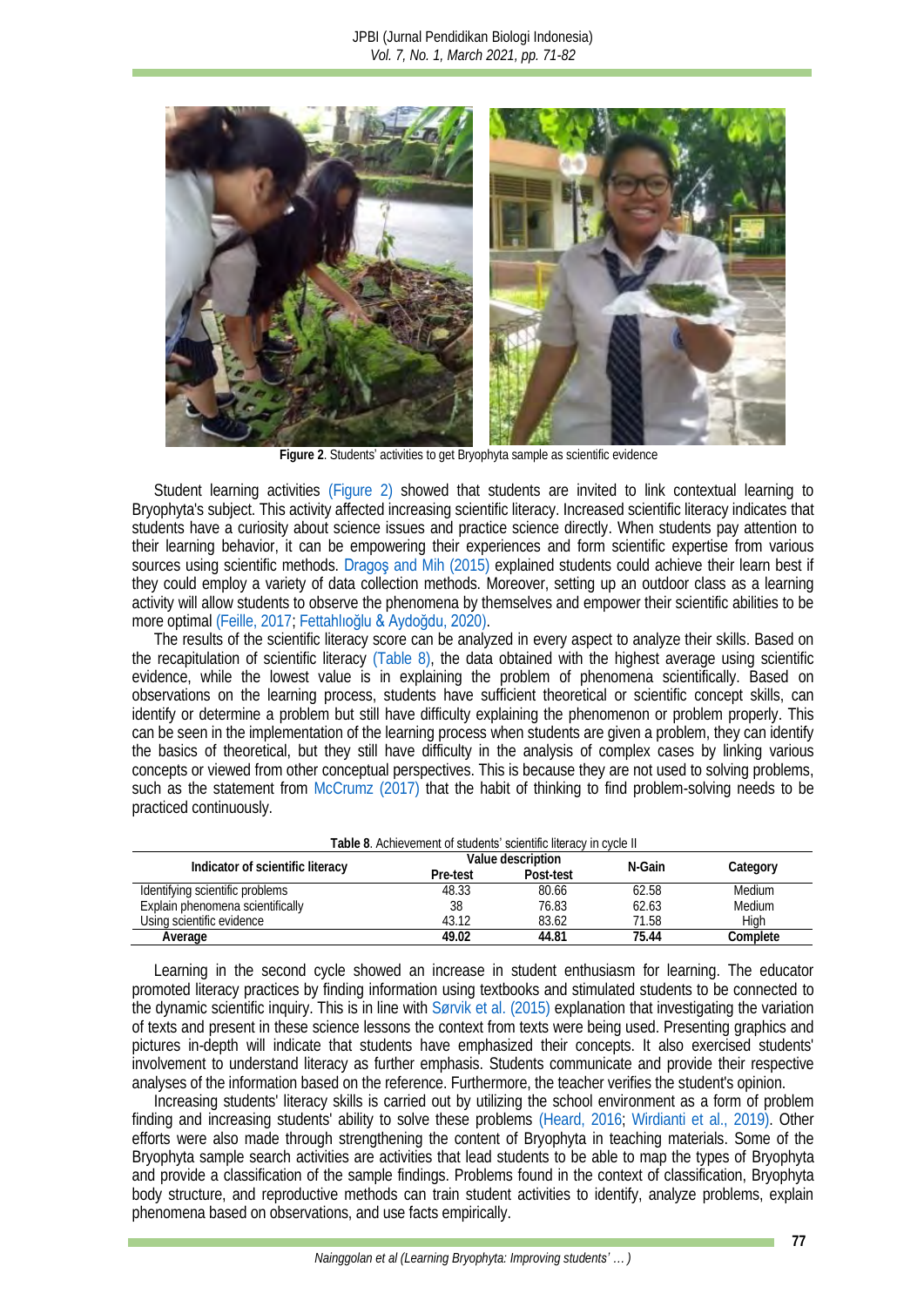

**Figure 2**. Students' activities to get Bryophyta sample as scientific evidence

<span id="page-6-0"></span>Student learning activities [\(Figure 2\)](#page-6-0) showed that students are invited to link contextual learning to Bryophyta's subject. This activity affected increasing scientific literacy. Increased scientific literacy indicates that students have a curiosity about science issues and practice science directly. When students pay attention to their learning behavior, it can be empowering their experiences and form scientific expertise from various sources using scientific methods. Dragos and Mih (2015) explained students could achieve their learn best if they could employ a variety of data collection methods. Moreover, setting up an outdoor class as a learning activity will allow students to observe the phenomena by themselves and empower their scientific abilities to be more optimal [\(Feille, 2017;](#page-9-14) Fetta[hlıoğlu & Aydoğdu, 2020\)](#page-9-15).

The results of the scientific literacy score can be analyzed in every aspect to analyze their skills. Based on the recapitulation of scientific literacy [\(Table 8\),](#page-6-1) the data obtained with the highest average using scientific evidence, while the lowest value is in explaining the problem of phenomena scientifically. Based on observations on the learning process, students have sufficient theoretical or scientific concept skills, can identify or determine a problem but still have difficulty explaining the phenomenon or problem properly. This can be seen in the implementation of the learning process when students are given a problem, they can identify the basics of theoretical, but they still have difficulty in the analysis of complex cases by linking various concepts or viewed from other conceptual perspectives. This is because they are not used to solving problems, such as the statement from [McCrumz](#page-10-12) (2017) that the habit of thinking to find problem-solving needs to be practiced continuously.

<span id="page-6-1"></span>

| Table 8. Achievement of <b>students' scientific liter</b> acy in cycle II |                   |           |        |               |
|---------------------------------------------------------------------------|-------------------|-----------|--------|---------------|
|                                                                           | Value description |           | N-Gain |               |
| Indicator of scientific literacy                                          | Pre-test          | Post-test |        | Category      |
| Identifying scientific problems                                           | 48.33             | 80.66     | 62.58  | Medium        |
| Explain phenomena scientifically                                          | 38                | 76.83     | 62.63  | <b>Medium</b> |
| Using scientific evidence                                                 | 43.12             | 83.62     | 71.58  | High          |
| Average                                                                   | 49.02             | 44.81     | 75.44  | Complete      |

Learning in the second cycle showed an increase in student enthusiasm for learning. The educator promoted literacy practices by finding information using textbooks and stimulated students to be connected to the dynamic scientific inquiry. This is in line with Sørvik et al. [\(2015\)](#page-11-7) explanation that investigating the variation of texts and present in these science lessons the context from texts were being used. Presenting graphics and pictures in-depth will indicate that students have emphasized their concepts. It also exercised students' involvement to understand literacy as further emphasis. Students communicate and provide their respective analyses of the information based on the reference. Furthermore, the teacher verifies the student's opinion.

Increasing students' literacy skills is carried out by utilizing the school environment as a form of problem finding and increasing students' ability to solve these problems [\(Heard, 2016;](#page-9-16) [Wirdianti et al., 2019\).](#page-11-8) Other efforts were also made through strengthening the content of Bryophyta in teaching materials. Some of the Bryophyta sample search activities are activities that lead students to be able to map the types of Bryophyta and provide a classification of the sample findings. Problems found in the context of classification, Bryophyta body structure, and reproductive methods can train student activities to identify, analyze problems, explain phenomena based on observations, and use facts empirically.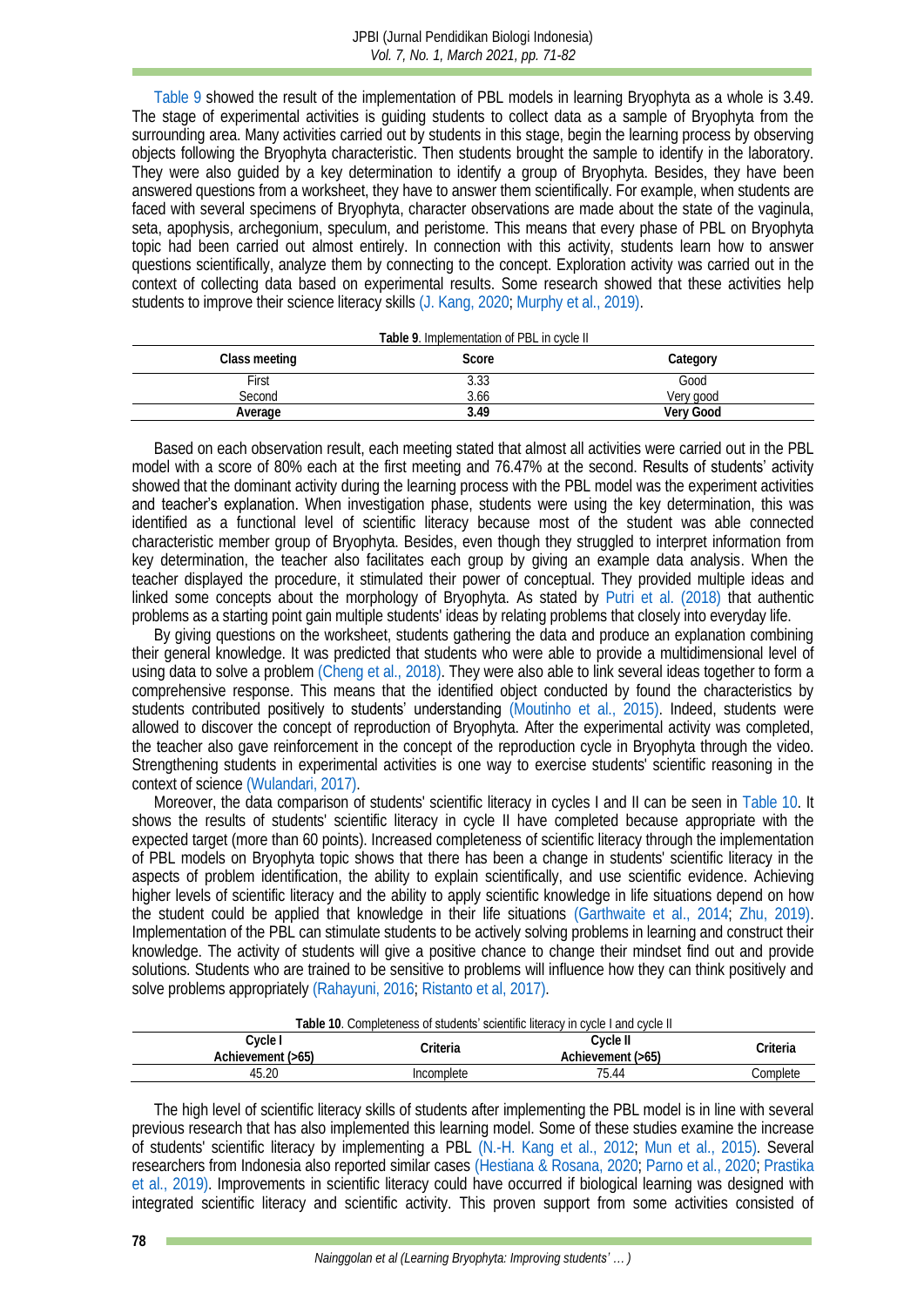[Table 9](#page-7-0) showed the result of the implementation of PBL models in learning Bryophyta as a whole is 3.49. The stage of experimental activities is guiding students to collect data as a sample of Bryophyta from the surrounding area. Many activities carried out by students in this stage, begin the learning process by observing objects following the Bryophyta characteristic. Then students brought the sample to identify in the laboratory. They were also guided by a key determination to identify a group of Bryophyta. Besides, they have been answered questions from a worksheet, they have to answer them scientifically. For example, when students are faced with several specimens of Bryophyta, character observations are made about the state of the vaginula, seta, apophysis, archegonium, speculum, and peristome. This means that every phase of PBL on Bryophyta topic had been carried out almost entirely. In connection with this activity, students learn how to answer questions scientifically, analyze them by connecting to the concept. Exploration activity was carried out in the context of collecting data based on experimental results. Some research showed that these activities help students to improve their science literacy skills [\(J. Kang, 2020;](#page-9-17) [Murphy et al., 2019\).](#page-10-9)

<span id="page-7-0"></span>

| Table 9. Implementation of PBL in cycle II |       |           |  |  |
|--------------------------------------------|-------|-----------|--|--|
| Class meeting                              | Score | Category  |  |  |
| First                                      | 3.33  | Good      |  |  |
| Second                                     | 3.66  | Very good |  |  |
| Average                                    | 3 49  | Very Good |  |  |

Based on each observation result, each meeting stated that almost all activities were carried out in the PBL model with a score of 80% each at the first meeting and 76.47% at the second. Results of students' activity showed that the dominant activity during the learning process with the PBL model was the experiment activities and teacher's explanation. When investigation phase, students were using the key determination, this was identified as a functional level of scientific literacy because most of the student was able connected characteristic member group of Bryophyta. Besides, even though they struggled to interpret information from key determination, the teacher also facilitates each group by giving an example data analysis. When the teacher displayed the procedure, it stimulated their power of conceptual. They provided multiple ideas and linked some concepts about the morphology of Bryophyta. As stated by Putri et al. [\(2018\)](#page-10-13) that authentic problems as a starting point gain multiple students' ideas by relating problems that closely into everyday life.

By giving questions on the worksheet, students gathering the data and produce an explanation combining their general knowledge. It was predicted that students who were able to provide a multidimensional level of using data to solve a problem [\(Cheng et al., 2018\).](#page-8-8) They were also able to link several ideas together to form a comprehensive response. This means that the identified object conducted by found the characteristics by students contributed positively to students' understanding [\(Moutinho et al., 2015\).](#page-10-5) Indeed, students were allowed to discover the concept of reproduction of Bryophyta. After the experimental activity was completed, the teacher also gave reinforcement in the concept of the reproduction cycle in Bryophyta through the video. Strengthening students in experimental activities is one way to exercise students' scientific reasoning in the context of science [\(Wulandari, 2017\).](#page-11-9)

Moreover, the data comparison of students' scientific literacy in cycles I and II can be seen in [Table 10.](#page-7-1) It shows the results of students' scientific literacy in cycle II have completed because appropriate with the expected target (more than 60 points). Increased completeness of scientific literacy through the implementation of PBL models on Bryophyta topic shows that there has been a change in students' scientific literacy in the aspects of problem identification, the ability to explain scientifically, and use scientific evidence. Achieving higher levels of scientific literacy and the ability to apply scientific knowledge in life situations depend on how the student could be applied that knowledge in their life situations [\(Garthwaite et al., 2014;](#page-9-18) [Zhu, 2019\).](#page-11-10) Implementation of the PBL can stimulate students to be actively solving problems in learning and construct their knowledge. The activity of students will give a positive chance to change their mindset find out and provide solutions. Students who are trained to be sensitive to problems will influence how they can think positively and solve problems appropriately [\(Rahayuni, 2016;](#page-10-14) [Ristanto et al, 2017\).](#page-10-15)

<span id="page-7-1"></span>

| Table 10. Completeness of <b>students' scien</b> tific literacy in cycle I and cycle II |            |                               |          |
|-----------------------------------------------------------------------------------------|------------|-------------------------------|----------|
| Cycle I<br>Achievement (>65)                                                            | Criteria   | Cycle II<br>Achievement (>65) | Criteria |
| 45.20                                                                                   | Incomplete | 75.44                         | Complete |

The high level of scientific literacy skills of students after implementing the PBL model is in line with several previous research that has also implemented this learning model. Some of these studies examine the increase of students' scientific literacy by implementing a PBL [\(N.-H. Kang et al., 2012;](#page-9-19) [Mun et al., 2015\).](#page-10-16) Several researchers from Indonesia also reported similar cases [\(Hestiana & Rosana, 2020;](#page-9-13) [Parno et al., 2020;](#page-10-7) [Prastika](#page-10-6)  [et al., 2019\).](#page-10-6) Improvements in scientific literacy could have occurred if biological learning was designed with integrated scientific literacy and scientific activity. This proven support from some activities consisted of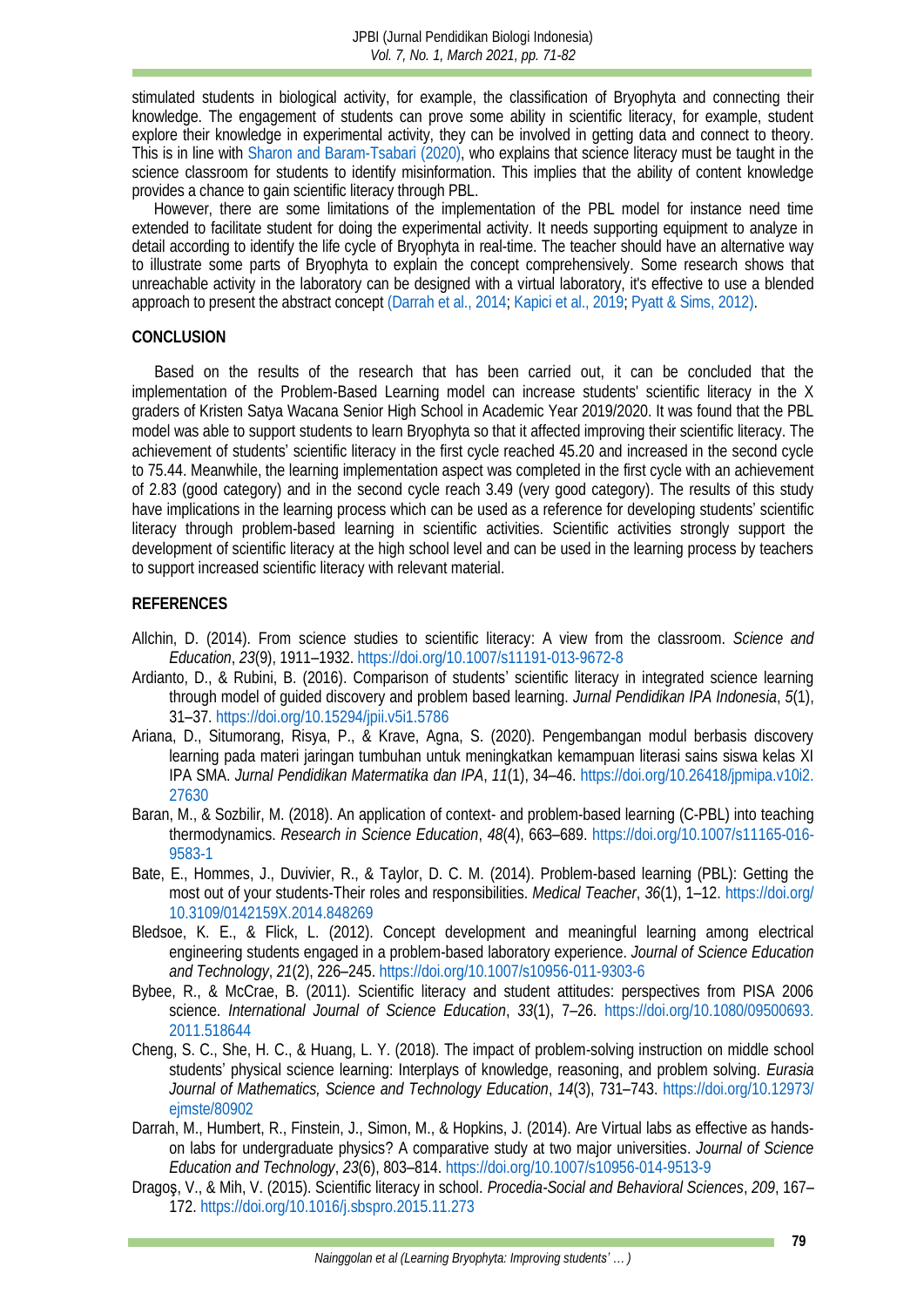stimulated students in biological activity, for example, the classification of Bryophyta and connecting their knowledge. The engagement of students can prove some ability in scientific literacy, for example, student explore their knowledge in experimental activity, they can be involved in getting data and connect to theory. This is in line with Sharon and [Baram-Tsabari \(2020\),](#page-11-11) who explains that science literacy must be taught in the science classroom for students to identify misinformation. This implies that the ability of content knowledge provides a chance to gain scientific literacy through PBL.

However, there are some limitations of the implementation of the PBL model for instance need time extended to facilitate student for doing the experimental activity. It needs supporting equipment to analyze in detail according to identify the life cycle of Bryophyta in real-time. The teacher should have an alternative way to illustrate some parts of Bryophyta to explain the concept comprehensively. Some research shows that unreachable activity in the laboratory can be designed with a virtual laboratory, it's effective to use a blended approach to present the abstract concept [\(Darrah et al., 2014;](#page-8-9) [Kapici et al., 2019;](#page-9-20) [Pyatt & Sims, 2012\).](#page-10-17)

#### **CONCLUSION**

Based on the results of the research that has been carried out, it can be concluded that the implementation of the Problem-Based Learning model can increase students' scientific literacy in the X graders of Kristen Satya Wacana Senior High School in Academic Year 2019/2020. It was found that the PBL model was able to support students to learn Bryophyta so that it affected improving their scientific literacy. The achievement of students' scientific literacy in the first cycle reached 45.20 and increased in the second cycle to 75.44. Meanwhile, the learning implementation aspect was completed in the first cycle with an achievement of 2.83 (good category) and in the second cycle reach 3.49 (very good category). The results of this study have implications in the learning process which can be used as a reference for developing students' scientific literacy through problem-based learning in scientific activities. Scientific activities strongly support the development of scientific literacy at the high school level and can be used in the learning process by teachers to support increased scientific literacy with relevant material.

#### **REFERENCES**

- <span id="page-8-1"></span>Allchin, D. (2014). From science studies to scientific literacy: A view from the classroom. *Science and Education*, *23*(9), 1911–1932[. https://doi.org/10.1007/s11191-013-9672-8](https://doi.org/10.1007/s11191-013-9672-8)
- <span id="page-8-2"></span>Ardianto, D., & Rubini, B. (2016). Comparison of students' scientific literacy in integrated science learning through model of guided discovery and problem based learning. *Jurnal Pendidikan IPA Indonesia*, *5*(1), 31–37.<https://doi.org/10.15294/jpii.v5i1.5786>
- <span id="page-8-0"></span>Ariana, D., Situmorang, Risya, P., & Krave, Agna, S. (2020). Pengembangan modul berbasis discovery learning pada materi jaringan tumbuhan untuk meningkatkan kemampuan literasi sains siswa kelas XI IPA SMA. *Jurnal Pendidikan Matermatika dan IPA*, *11*(1), 34–46. [https://doi.org/10.26418/jpmipa.v10i2.](https://doi.org/10.26418/jpmipa.v10i2.27630) [27630](https://doi.org/10.26418/jpmipa.v10i2.27630)
- <span id="page-8-4"></span>Baran, M., & Sozbilir, M. (2018). An application of context- and problem-based learning (C-PBL) into teaching thermodynamics. *Research in Science Education*, *48*(4), 663–689. [https://doi.org/10.1007/s11165-016-](https://doi.org/10.1007/s11165-016-9583-1) [9583-1](https://doi.org/10.1007/s11165-016-9583-1)
- <span id="page-8-5"></span>Bate, E., Hommes, J., Duvivier, R., & Taylor, D. C. M. (2014). Problem-based learning (PBL): Getting the most out of your students-Their roles and responsibilities. *Medical Teacher*, *36*(1), 1–12. [https://doi.org/](https://doi.org/10.3109/0142159X.2014.848269) [10.3109/0142159X.2014.848269](https://doi.org/10.3109/0142159X.2014.848269)
- <span id="page-8-3"></span>Bledsoe, K. E., & Flick, L. (2012). Concept development and meaningful learning among electrical engineering students engaged in a problem-based laboratory experience. *Journal of Science Education and Technology*, *21*(2), 226–245[. https://doi.org/10.1007/s10956-011-9303-6](https://doi.org/10.1007/s10956-011-9303-6)
- <span id="page-8-6"></span>Bybee, R., & McCrae, B. (2011). Scientific literacy and student attitudes: perspectives from PISA 2006 science. *International Journal of Science Education*, *33*(1), 7–26. [https://doi.org/10.1080/09500693.](https://doi.org/10.1080/09500693.2011.518644) [2011.518644](https://doi.org/10.1080/09500693.2011.518644)
- <span id="page-8-8"></span>Cheng, S. C., She, H. C., & Huang, L. Y. (2018). The impact of problem-solving instruction on middle school students' physical science learning: Interplays of knowledge, reasoning, and problem solving. *Eurasia Journal of Mathematics, Science and Technology Education*, *14*(3), 731–743. [https://doi.org/10.12973/](https://doi.org/10.12973/ejmste/80902) [ejmste/80902](https://doi.org/10.12973/ejmste/80902)
- <span id="page-8-9"></span>Darrah, M., Humbert, R., Finstein, J., Simon, M., & Hopkins, J. (2014). Are Virtual labs as effective as handson labs for undergraduate physics? A comparative study at two major universities. *Journal of Science Education and Technology*, *23*(6), 803–814.<https://doi.org/10.1007/s10956-014-9513-9>
- <span id="page-8-7"></span>Dragoş, V., & Mih, V. (2015). Scientific literacy in school. *Procedia-Social and Behavioral Sciences*, *209*, 167– 172.<https://doi.org/10.1016/j.sbspro.2015.11.273>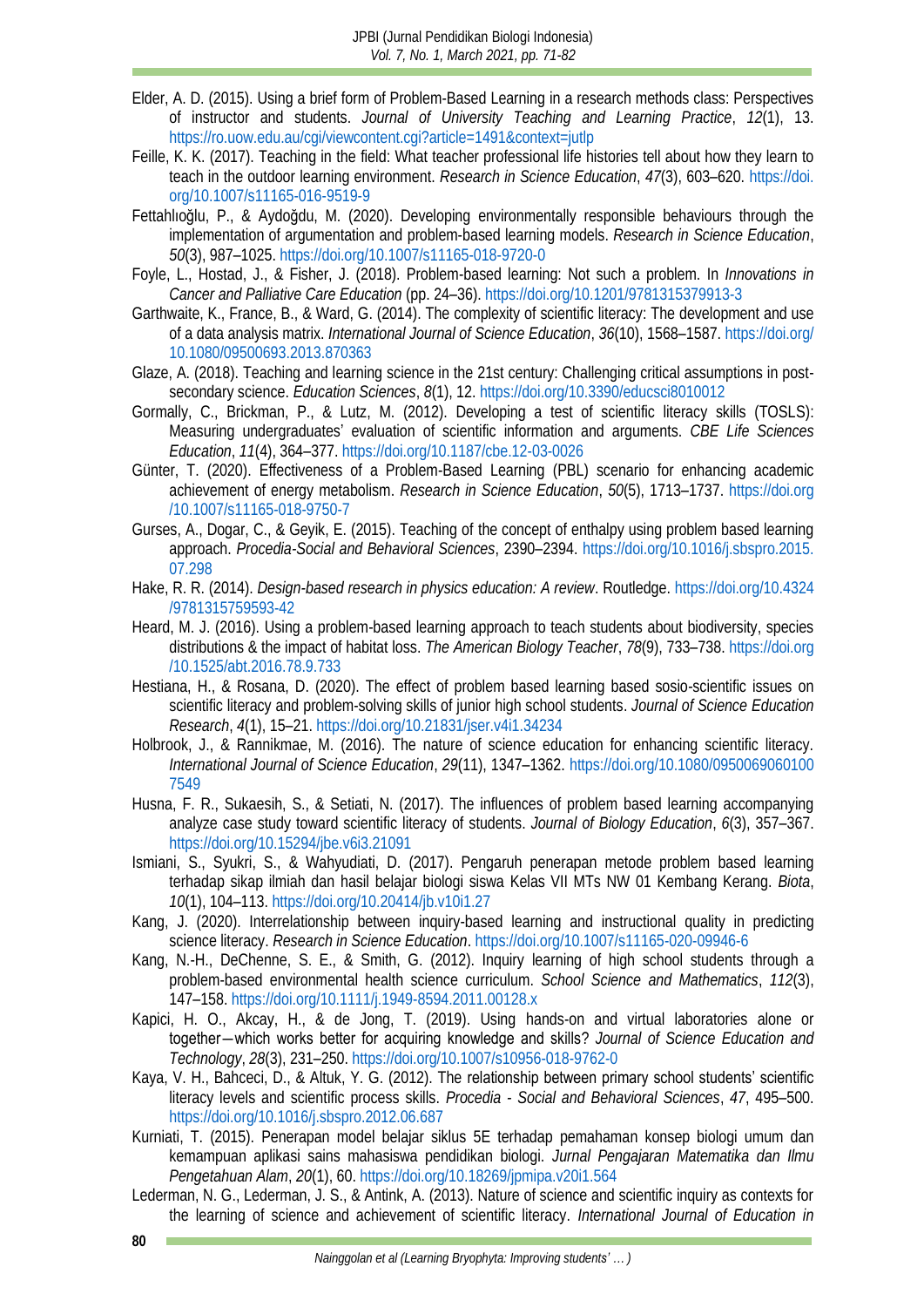- <span id="page-9-6"></span>Elder, A. D. (2015). Using a brief form of Problem-Based Learning in a research methods class: Perspectives of instructor and students. *Journal of University Teaching and Learning Practice*, *12*(1), 13. <https://ro.uow.edu.au/cgi/viewcontent.cgi?article=1491&context=jutlp>
- <span id="page-9-14"></span>Feille, K. K. (2017). Teaching in the field: What teacher professional life histories tell about how they learn to teach in the outdoor learning environment. *Research in Science Education*, *47*(3), 603–620. [https://doi.](https://doi.org/10.1007/s11165-016-9519-9) [org/10.1007/s11165-016-9519-9](https://doi.org/10.1007/s11165-016-9519-9)
- <span id="page-9-15"></span>Fettahlıoğlu, P., & Aydoğdu, M. (2020). Developing environmentally responsible behaviours through the implementation of argumentation and problem-based learning models. *Research in Science Education*, *50*(3), 987–1025.<https://doi.org/10.1007/s11165-018-9720-0>
- <span id="page-9-8"></span>Foyle, L., Hostad, J., & Fisher, J. (2018). Problem-based learning: Not such a problem. In *Innovations in Cancer and Palliative Care Education* (pp. 24–36)[. https://doi.org/10.1201/9781315379913-3](https://doi.org/10.1201/9781315379913-3)
- <span id="page-9-18"></span>Garthwaite, K., France, B., & Ward, G. (2014). The complexity of scientific literacy: The development and use of a data analysis matrix. *International Journal of Science Education*, *36*(10), 1568–1587. [https://doi.org/](https://doi.org/10.1080/09500693.2013.870363) [10.1080/09500693.2013.870363](https://doi.org/10.1080/09500693.2013.870363)
- <span id="page-9-5"></span>Glaze, A. (2018). Teaching and learning science in the 21st century: Challenging critical assumptions in postsecondary science. *Education Sciences*, *8*(1), 12.<https://doi.org/10.3390/educsci8010012>
- <span id="page-9-11"></span>Gormally, C., Brickman, P., & Lutz, M. (2012). Developing a test of scientific literacy skills (TOSLS): Measuring undergraduates' evaluation of scientific information and arguments. *CBE Life Sciences Education*, *11*(4), 364–377[. https://doi.org/10.1187/cbe.12-03-0026](https://doi.org/10.1187/cbe.12-03-0026)
- <span id="page-9-4"></span>Günter, T. (2020). Effectiveness of a Problem-Based Learning (PBL) scenario for enhancing academic achievement of energy metabolism. *Research in Science Education*, *50*(5), 1713–1737. [https://doi.org](https://doi.org/10.1007/s11165-018-9750-7) [/10.1007/s11165-018-9750-7](https://doi.org/10.1007/s11165-018-9750-7)
- <span id="page-9-9"></span>Gurses, A., Dogar, C., & Geyik, E. (2015). Teaching of the concept of enthalpy using problem based learning approach. *Procedia-Social and Behavioral Sciences*, 2390–2394. [https://doi.org/10.1016/j.sbspro.2015.](https://doi.org/10.1016/j.sbspro.2015.07.298) [07.298](https://doi.org/10.1016/j.sbspro.2015.07.298)
- <span id="page-9-12"></span>Hake, R. R. (2014). *Design-based research in physics education: A review*. Routledge[. https://doi.org/10.4324](https://doi.org/10.4324/9781315759593-42) [/9781315759593-42](https://doi.org/10.4324/9781315759593-42)
- <span id="page-9-16"></span>Heard, M. J. (2016). Using a problem-based learning approach to teach students about biodiversity, species distributions & the impact of habitat loss. *The American Biology Teacher*, *78*(9), 733–738. [https://doi.org](https://doi.org/10.1525/abt.2016.78.9.733) [/10.1525/abt.2016.78.9.733](https://doi.org/10.1525/abt.2016.78.9.733)
- <span id="page-9-13"></span>Hestiana, H., & Rosana, D. (2020). The effect of problem based learning based sosio-scientific issues on scientific literacy and problem-solving skills of junior high school students. *Journal of Science Education Research*, *4*(1), 15–21.<https://doi.org/10.21831/jser.v4i1.34234>
- <span id="page-9-2"></span>Holbrook, J., & Rannikmae, M. (2016). The nature of science education for enhancing scientific literacy. *International Journal of Science Education*, *29*(11), 1347–1362. [https://doi.org/10.1080/0950069060100](https://doi.org/10.1080/09500690601007549) [7549](https://doi.org/10.1080/09500690601007549)
- <span id="page-9-10"></span>Husna, F. R., Sukaesih, S., & Setiati, N. (2017). The influences of problem based learning accompanying analyze case study toward scientific literacy of students. *Journal of Biology Education*, *6*(3), 357–367. <https://doi.org/10.15294/jbe.v6i3.21091>
- <span id="page-9-7"></span>Ismiani, S., Syukri, S., & Wahyudiati, D. (2017). Pengaruh penerapan metode problem based learning terhadap sikap ilmiah dan hasil belajar biologi siswa Kelas VII MTs NW 01 Kembang Kerang. *Biota*, *10*(1), 104–113.<https://doi.org/10.20414/jb.v10i1.27>
- <span id="page-9-17"></span>Kang, J. (2020). Interrelationship between inquiry-based learning and instructional quality in predicting science literacy. *Research in Science Education*.<https://doi.org/10.1007/s11165-020-09946-6>
- <span id="page-9-19"></span>Kang, N.-H., DeChenne, S. E., & Smith, G. (2012). Inquiry learning of high school students through a problem-based environmental health science curriculum. *School Science and Mathematics*, *112*(3), 147–158.<https://doi.org/10.1111/j.1949-8594.2011.00128.x>
- <span id="page-9-20"></span>Kapici, H. O., Akcay, H., & de Jong, T. (2019). Using hands-on and virtual laboratories alone or together―which works better for acquiring knowledge and skills? *Journal of Science Education and Technology*, *28*(3), 231–250.<https://doi.org/10.1007/s10956-018-9762-0>
- <span id="page-9-3"></span>Kaya, V. H., Bahceci, D., & Altuk, Y. G. (2012). The relationship between primary school students' scientific literacy levels and scientific process skills. *Procedia - Social and Behavioral Sciences*, *47*, 495–500. <https://doi.org/10.1016/j.sbspro.2012.06.687>
- <span id="page-9-0"></span>Kurniati, T. (2015). Penerapan model belajar siklus 5E terhadap pemahaman konsep biologi umum dan kemampuan aplikasi sains mahasiswa pendidikan biologi. *Jurnal Pengajaran Matematika dan Ilmu Pengetahuan Alam*, *20*(1), 60.<https://doi.org/10.18269/jpmipa.v20i1.564>
- <span id="page-9-1"></span>Lederman, N. G., Lederman, J. S., & Antink, A. (2013). Nature of science and scientific inquiry as contexts for the learning of science and achievement of scientific literacy. *International Journal of Education in*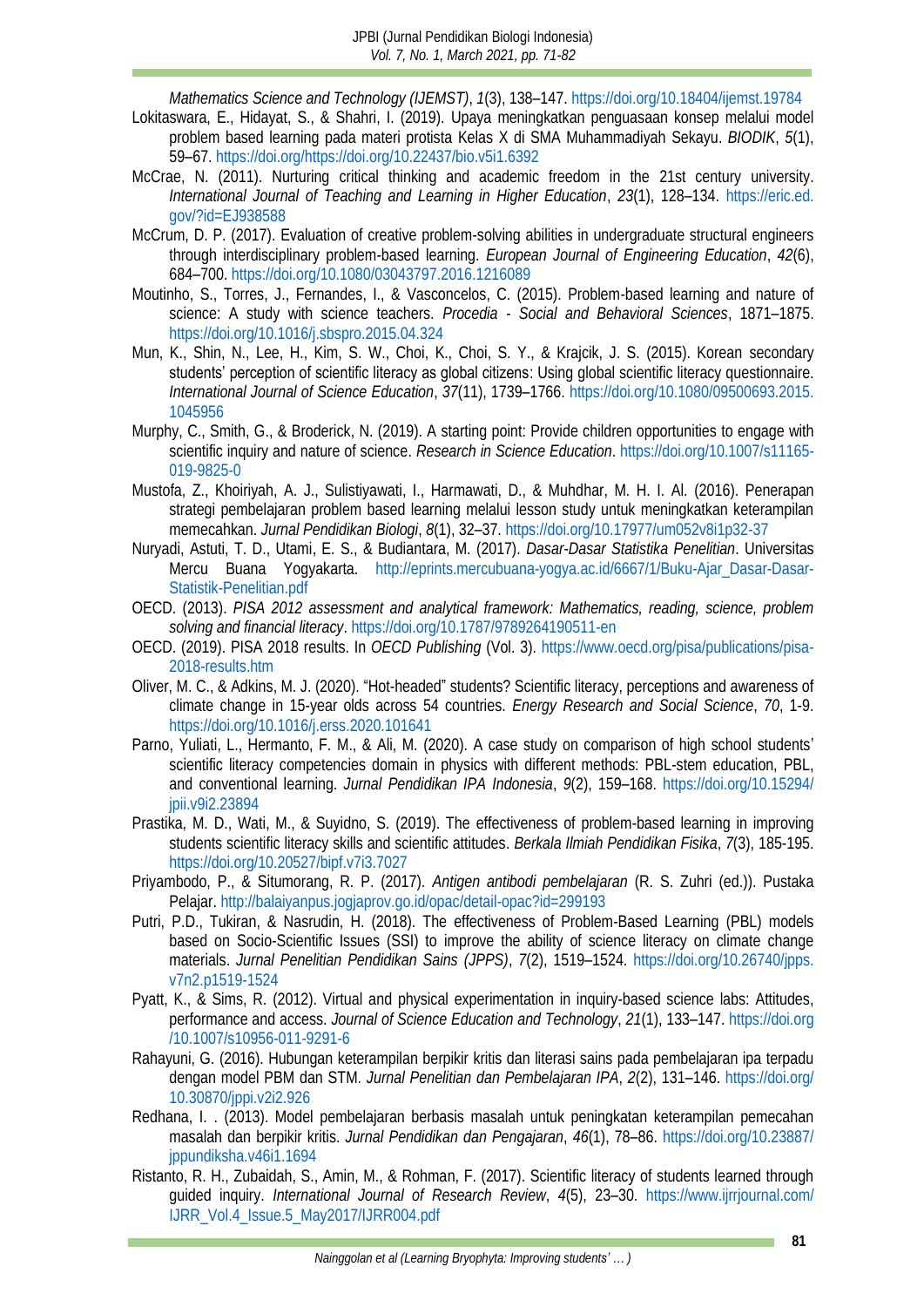- <span id="page-10-8"></span>*Mathematics Science and Technology (IJEMST)*, *1*(3), 138–147.<https://doi.org/10.18404/ijemst.19784> Lokitaswara, E., Hidayat, S., & Shahri, I. (2019). Upaya meningkatkan penguasaan konsep melalui model problem based learning pada materi protista Kelas X di SMA Muhammadiyah Sekayu. *BIODIK*, *5*(1), 59–67. [https://doi.org/https://doi.org/10.22437/bio.v5i1.6392](https://doi.org/https:/doi.org/10.22437/bio.v5i1.6392)
- <span id="page-10-1"></span>McCrae, N. (2011). Nurturing critical thinking and academic freedom in the 21st century university. *International Journal of Teaching and Learning in Higher Education*, *23*(1), 128–134. [https://eric.ed.](https://eric.ed.gov/?id=EJ938588) [gov/?id=EJ938588](https://eric.ed.gov/?id=EJ938588)
- <span id="page-10-12"></span>McCrum, D. P. (2017). Evaluation of creative problem-solving abilities in undergraduate structural engineers through interdisciplinary problem-based learning. *European Journal of Engineering Education*, *42*(6), 684–700.<https://doi.org/10.1080/03043797.2016.1216089>
- <span id="page-10-5"></span>Moutinho, S., Torres, J., Fernandes, I., & Vasconcelos, C. (2015). Problem-based learning and nature of science: A study with science teachers. *Procedia - Social and Behavioral Sciences*, 1871–1875. <https://doi.org/10.1016/j.sbspro.2015.04.324>
- <span id="page-10-16"></span>Mun, K., Shin, N., Lee, H., Kim, S. W., Choi, K., Choi, S. Y., & Krajcik, J. S. (2015). Korean secondary students' perception of scientific literacy as global citizens: Using global scientific literacy questionnaire. *International Journal of Science Education*, *37*(11), 1739–1766. [https://doi.org/10.1080/09500693.2015.](https://doi.org/10.1080/09500693.2015.1045956) [1045956](https://doi.org/10.1080/09500693.2015.1045956)
- <span id="page-10-9"></span>Murphy, C., Smith, G., & Broderick, N. (2019). A starting point: Provide children opportunities to engage with scientific inquiry and nature of science. *Research in Science Education*[. https://doi.org/10.1007/s11165-](https://doi.org/10.1007/s11165-019-9825-0) [019-9825-0](https://doi.org/10.1007/s11165-019-9825-0)
- Mustofa, Z., Khoiriyah, A. J., Sulistiyawati, I., Harmawati, D., & Muhdhar, M. H. I. Al. (2016). Penerapan strategi pembelajaran problem based learning melalui lesson study untuk meningkatkan keterampilan memecahkan. *Jurnal Pendidikan Biologi*, *8*(1), 32–37[. https://doi.org/10.17977/um052v8i1p32-37](https://doi.org/10.17977/um052v8i1p32-37)
- <span id="page-10-10"></span>Nuryadi, Astuti, T. D., Utami, E. S., & Budiantara, M. (2017). *Dasar-Dasar Statistika Penelitian*. Universitas Mercu Buana Yogyakarta. [http://eprints.mercubuana-yogya.ac.id/6667/1/Buku-Ajar\\_Dasar-Dasar-](http://eprints.mercubuana-yogya.ac.id/6667/1/Buku-Ajar_Dasar-Dasar-Statistik-Penelitian.pdf)[Statistik-Penelitian.pdf](http://eprints.mercubuana-yogya.ac.id/6667/1/Buku-Ajar_Dasar-Dasar-Statistik-Penelitian.pdf)
- <span id="page-10-0"></span>OECD. (2013). *PISA 2012 assessment and analytical framework: Mathematics, reading, science, problem solving and financial literacy*[. https://doi.org/10.1787/9789264190511-en](https://doi.org/10.1787/9789264190511-en)
- <span id="page-10-4"></span>OECD. (2019). PISA 2018 results. In *OECD Publishing* (Vol. 3). [https://www.oecd.org/pisa/publications/pisa-](https://www.oecd.org/pisa/publications/pisa-2018-results.htm)[2018-results.htm](https://www.oecd.org/pisa/publications/pisa-2018-results.htm)
- <span id="page-10-2"></span>Oliver, M. C., & Adkins, M. J. (2020). "Hot-headed" students? Scientific literacy, perceptions and awareness of climate change in 15-year olds across 54 countries. *Energy Research and Social Science*, *70*, 1-9. <https://doi.org/10.1016/j.erss.2020.101641>
- <span id="page-10-7"></span>Parno, Yuliati, L., Hermanto, F. M., & Ali, M. (2020). A case study on comparison of high school students' scientific literacy competencies domain in physics with different methods: PBL-stem education, PBL, and conventional learning. *Jurnal Pendidikan IPA Indonesia*, *9*(2), 159–168. [https://doi.org/10.15294/](https://doi.org/10.15294/jpii.v9i2.23894) [jpii.v9i2.23894](https://doi.org/10.15294/jpii.v9i2.23894)
- <span id="page-10-6"></span>Prastika, M. D., Wati, M., & Suyidno, S. (2019). The effectiveness of problem-based learning in improving students scientific literacy skills and scientific attitudes. *Berkala Ilmiah Pendidikan Fisika*, *7*(3), 185-195. <https://doi.org/10.20527/bipf.v7i3.7027>
- <span id="page-10-3"></span>Priyambodo, P., & Situmorang, R. P. (2017). *Antigen antibodi pembelajaran* (R. S. Zuhri (ed.)). Pustaka Pelajar.<http://balaiyanpus.jogjaprov.go.id/opac/detail-opac?id=299193>
- <span id="page-10-13"></span>Putri, P.D., Tukiran, & Nasrudin, H. (2018). The effectiveness of Problem-Based Learning (PBL) models based on Socio-Scientific Issues (SSI) to improve the ability of science literacy on climate change materials. *Jurnal Penelitian Pendidikan Sains (JPPS)*, *7*(2), 1519–1524. [https://doi.org/10.26740/jpps.](https://doi.org/10.26740/jpps.v7n2.p1519-1524) [v7n2.p1519-1524](https://doi.org/10.26740/jpps.v7n2.p1519-1524)
- <span id="page-10-17"></span>Pyatt, K., & Sims, R. (2012). Virtual and physical experimentation in inquiry-based science labs: Attitudes, performance and access. *Journal of Science Education and Technology*, *21*(1), 133–147. [https://doi.org](https://doi.org/10.1007/s10956-011-9291-6) [/10.1007/s10956-011-9291-6](https://doi.org/10.1007/s10956-011-9291-6)
- <span id="page-10-14"></span>Rahayuni, G. (2016). Hubungan keterampilan berpikir kritis dan literasi sains pada pembelajaran ipa terpadu dengan model PBM dan STM. *Jurnal Penelitian dan Pembelajaran IPA*, *2*(2), 131–146. [https://doi.org/](https://doi.org/10.30870/jppi.v2i2.926) [10.30870/jppi.v2i2.926](https://doi.org/10.30870/jppi.v2i2.926)
- <span id="page-10-11"></span>Redhana, I. . (2013). Model pembelajaran berbasis masalah untuk peningkatan keterampilan pemecahan masalah dan berpikir kritis. *Jurnal Pendidikan dan Pengajaran*, *46*(1), 78–86. [https://doi.org/10.23887/](https://doi.org/10.23887/jppundiksha.v46i1.1694) [jppundiksha.v46i1.1694](https://doi.org/10.23887/jppundiksha.v46i1.1694)
- <span id="page-10-15"></span>Ristanto, R. H., Zubaidah, S., Amin, M., & Rohman, F. (2017). Scientific literacy of students learned through guided inquiry. *International Journal of Research Review*, *4*(5), 23–30. [https://www.ijrrjournal.com/](https://www.ijrrjournal.com/IJRR_Vol.4_Issue.5_May2017/IJRR004.pdf) [IJRR\\_Vol.4\\_Issue.5\\_May2017/IJRR004.pdf](https://www.ijrrjournal.com/IJRR_Vol.4_Issue.5_May2017/IJRR004.pdf)